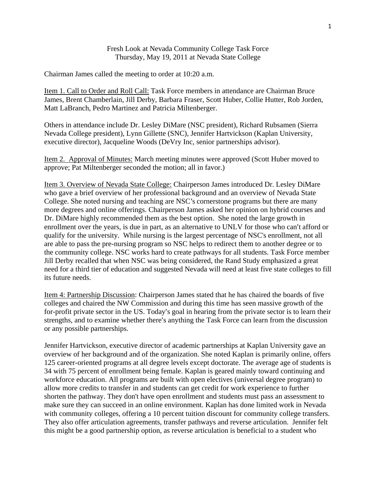Fresh Look at Nevada Community College Task Force Thursday, May 19, 2011 at Nevada State College

Chairman James called the meeting to order at 10:20 a.m.

Item 1. Call to Order and Roll Call: Task Force members in attendance are Chairman Bruce James, Brent Chamberlain, Jill Derby, Barbara Fraser, Scott Huber, Collie Hutter, Rob Jorden, Matt LaBranch, Pedro Martinez and Patricia Miltenberger.

Others in attendance include Dr. Lesley DiMare (NSC president), Richard Rubsamen (Sierra Nevada College president), Lynn Gillette (SNC), Jennifer Hartvickson (Kaplan University, executive director), Jacqueline Woods (DeVry Inc, senior partnerships advisor).

Item 2. Approval of Minutes: March meeting minutes were approved (Scott Huber moved to approve; Pat Miltenberger seconded the motion; all in favor.)

Item 3. Overview of Nevada State College: Chairperson James introduced Dr. Lesley DiMare who gave a brief overview of her professional background and an overview of Nevada State College. She noted nursing and teaching are NSC's cornerstone programs but there are many more degrees and online offerings. Chairperson James asked her opinion on hybrid courses and Dr. DiMare highly recommended them as the best option. She noted the large growth in enrollment over the years, is due in part, as an alternative to UNLV for those who can't afford or qualify for the university. While nursing is the largest percentage of NSC's enrollment, not all are able to pass the pre-nursing program so NSC helps to redirect them to another degree or to the community college. NSC works hard to create pathways for all students. Task Force member Jill Derby recalled that when NSC was being considered, the Rand Study emphasized a great need for a third tier of education and suggested Nevada will need at least five state colleges to fill its future needs.

Item 4: Partnership Discussion: Chairperson James stated that he has chaired the boards of five colleges and chaired the NW Commission and during this time has seen massive growth of the for-profit private sector in the US. Today's goal in hearing from the private sector is to learn their strengths, and to examine whether there's anything the Task Force can learn from the discussion or any possible partnerships.

Jennifer Hartvickson, executive director of academic partnerships at Kaplan University gave an overview of her background and of the organization. She noted Kaplan is primarily online, offers 125 career-oriented programs at all degree levels except doctorate. The average age of students is 34 with 75 percent of enrollment being female. Kaplan is geared mainly toward continuing and workforce education. All programs are built with open electives (universal degree program) to allow more credits to transfer in and students can get credit for work experience to further shorten the pathway. They don't have open enrollment and students must pass an assessment to make sure they can succeed in an online environment. Kaplan has done limited work in Nevada with community colleges, offering a 10 percent tuition discount for community college transfers. They also offer articulation agreements, transfer pathways and reverse articulation. Jennifer felt this might be a good partnership option, as reverse articulation is beneficial to a student who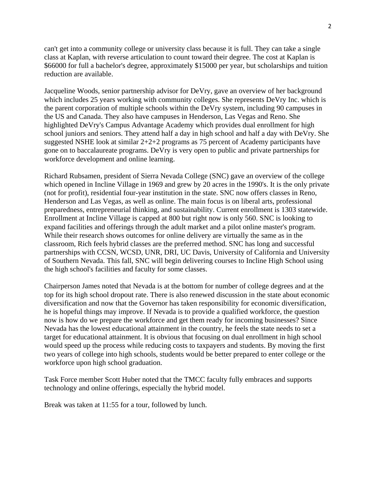can't get into a community college or university class because it is full. They can take a single class at Kaplan, with reverse articulation to count toward their degree. The cost at Kaplan is \$66000 for full a bachelor's degree, approximately \$15000 per year, but scholarships and tuition reduction are available.

Jacqueline Woods, senior partnership advisor for DeVry, gave an overview of her background which includes 25 years working with community colleges. She represents DeVry Inc. which is the parent corporation of multiple schools within the DeVry system, including 90 campuses in the US and Canada. They also have campuses in Henderson, Las Vegas and Reno. She highlighted DeVry's Campus Advantage Academy which provides dual enrollment for high school juniors and seniors. They attend half a day in high school and half a day with DeVry. She suggested NSHE look at similar 2+2+2 programs as 75 percent of Academy participants have gone on to baccalaureate programs. DeVry is very open to public and private partnerships for workforce development and online learning.

Richard Rubsamen, president of Sierra Nevada College (SNC) gave an overview of the college which opened in Incline Village in 1969 and grew by 20 acres in the 1990's. It is the only private (not for profit), residential four-year institution in the state. SNC now offers classes in Reno, Henderson and Las Vegas, as well as online. The main focus is on liberal arts, professional preparedness, entrepreneurial thinking, and sustainability. Current enrollment is 1303 statewide. Enrollment at Incline Village is capped at 800 but right now is only 560. SNC is looking to expand facilities and offerings through the adult market and a pilot online master's program. While their research shows outcomes for online delivery are virtually the same as in the classroom, Rich feels hybrid classes are the preferred method. SNC has long and successful partnerships with CCSN, WCSD, UNR, DRI, UC Davis, University of California and University of Southern Nevada. This fall, SNC will begin delivering courses to Incline High School using the high school's facilities and faculty for some classes.

Chairperson James noted that Nevada is at the bottom for number of college degrees and at the top for its high school dropout rate. There is also renewed discussion in the state about economic diversification and now that the Governor has taken responsibility for economic diversification, he is hopeful things may improve. If Nevada is to provide a qualified workforce, the question now is how do we prepare the workforce and get them ready for incoming businesses? Since Nevada has the lowest educational attainment in the country, he feels the state needs to set a target for educational attainment. It is obvious that focusing on dual enrollment in high school would speed up the process while reducing costs to taxpayers and students. By moving the first two years of college into high schools, students would be better prepared to enter college or the workforce upon high school graduation.

Task Force member Scott Huber noted that the TMCC faculty fully embraces and supports technology and online offerings, especially the hybrid model.

Break was taken at 11:55 for a tour, followed by lunch.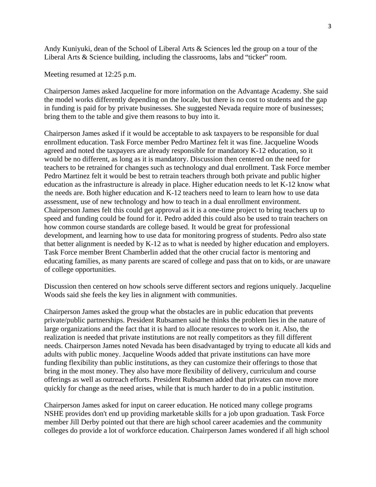Andy Kuniyuki, dean of the School of Liberal Arts & Sciences led the group on a tour of the Liberal Arts & Science building, including the classrooms, labs and "ticker" room.

Meeting resumed at 12:25 p.m.

Chairperson James asked Jacqueline for more information on the Advantage Academy. She said the model works differently depending on the locale, but there is no cost to students and the gap in funding is paid for by private businesses. She suggested Nevada require more of businesses; bring them to the table and give them reasons to buy into it.

Chairperson James asked if it would be acceptable to ask taxpayers to be responsible for dual enrollment education. Task Force member Pedro Martinez felt it was fine. Jacqueline Woods agreed and noted the taxpayers are already responsible for mandatory K-12 education, so it would be no different, as long as it is mandatory. Discussion then centered on the need for teachers to be retrained for changes such as technology and dual enrollment. Task Force member Pedro Martinez felt it would be best to retrain teachers through both private and public higher education as the infrastructure is already in place. Higher education needs to let K-12 know what the needs are. Both higher education and K-12 teachers need to learn to learn how to use data assessment, use of new technology and how to teach in a dual enrollment environment. Chairperson James felt this could get approval as it is a one-time project to bring teachers up to speed and funding could be found for it. Pedro added this could also be used to train teachers on how common course standards are college based. It would be great for professional development, and learning how to use data for monitoring progress of students. Pedro also state that better alignment is needed by K-12 as to what is needed by higher education and employers. Task Force member Brent Chamberlin added that the other crucial factor is mentoring and educating families, as many parents are scared of college and pass that on to kids, or are unaware of college opportunities.

Discussion then centered on how schools serve different sectors and regions uniquely. Jacqueline Woods said she feels the key lies in alignment with communities.

Chairperson James asked the group what the obstacles are in public education that prevents private/public partnerships. President Rubsamen said he thinks the problem lies in the nature of large organizations and the fact that it is hard to allocate resources to work on it. Also, the realization is needed that private institutions are not really competitors as they fill different needs. Chairperson James noted Nevada has been disadvantaged by trying to educate all kids and adults with public money. Jacqueline Woods added that private institutions can have more funding flexibility than public institutions, as they can customize their offerings to those that bring in the most money. They also have more flexibility of delivery, curriculum and course offerings as well as outreach efforts. President Rubsamen added that privates can move more quickly for change as the need arises, while that is much harder to do in a public institution.

Chairperson James asked for input on career education. He noticed many college programs NSHE provides don't end up providing marketable skills for a job upon graduation. Task Force member Jill Derby pointed out that there are high school career academies and the community colleges do provide a lot of workforce education. Chairperson James wondered if all high school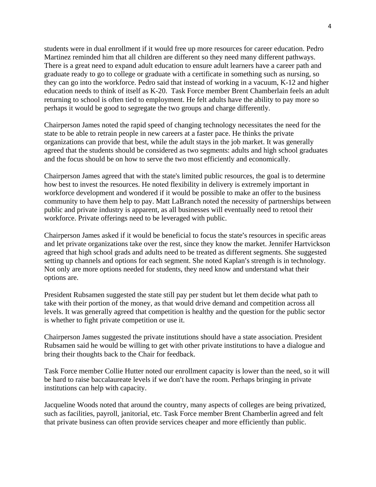students were in dual enrollment if it would free up more resources for career education. Pedro Martinez reminded him that all children are different so they need many different pathways. There is a great need to expand adult education to ensure adult learners have a career path and graduate ready to go to college or graduate with a certificate in something such as nursing, so they can go into the workforce. Pedro said that instead of working in a vacuum, K-12 and higher education needs to think of itself as K-20. Task Force member Brent Chamberlain feels an adult returning to school is often tied to employment. He felt adults have the ability to pay more so perhaps it would be good to segregate the two groups and charge differently.

Chairperson James noted the rapid speed of changing technology necessitates the need for the state to be able to retrain people in new careers at a faster pace. He thinks the private organizations can provide that best, while the adult stays in the job market. It was generally agreed that the students should be considered as two segments: adults and high school graduates and the focus should be on how to serve the two most efficiently and economically.

Chairperson James agreed that with the state's limited public resources, the goal is to determine how best to invest the resources. He noted flexibility in delivery is extremely important in workforce development and wondered if it would be possible to make an offer to the business community to have them help to pay. Matt LaBranch noted the necessity of partnerships between public and private industry is apparent, as all businesses will eventually need to retool their workforce. Private offerings need to be leveraged with public.

Chairperson James asked if it would be beneficial to focus the state's resources in specific areas and let private organizations take over the rest, since they know the market. Jennifer Hartvickson agreed that high school grads and adults need to be treated as different segments. She suggested setting up channels and options for each segment. She noted Kaplan's strength is in technology. Not only are more options needed for students, they need know and understand what their options are.

President Rubsamen suggested the state still pay per student but let them decide what path to take with their portion of the money, as that would drive demand and competition across all levels. It was generally agreed that competition is healthy and the question for the public sector is whether to fight private competition or use it.

Chairperson James suggested the private institutions should have a state association. President Rubsamen said he would be willing to get with other private institutions to have a dialogue and bring their thoughts back to the Chair for feedback.

Task Force member Collie Hutter noted our enrollment capacity is lower than the need, so it will be hard to raise baccalaureate levels if we don't have the room. Perhaps bringing in private institutions can help with capacity.

Jacqueline Woods noted that around the country, many aspects of colleges are being privatized, such as facilities, payroll, janitorial, etc. Task Force member Brent Chamberlin agreed and felt that private business can often provide services cheaper and more efficiently than public.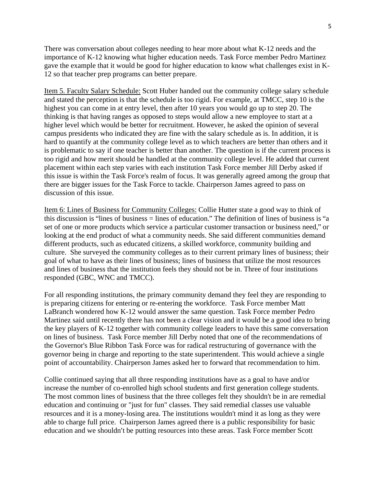There was conversation about colleges needing to hear more about what K-12 needs and the importance of K-12 knowing what higher education needs. Task Force member Pedro Martinez gave the example that it would be good for higher education to know what challenges exist in K-12 so that teacher prep programs can better prepare.

Item 5. Faculty Salary Schedule: Scott Huber handed out the community college salary schedule and stated the perception is that the schedule is too rigid. For example, at TMCC, step 10 is the highest you can come in at entry level, then after 10 years you would go up to step 20. The thinking is that having ranges as opposed to steps would allow a new employee to start at a higher level which would be better for recruitment. However, he asked the opinion of several campus presidents who indicated they are fine with the salary schedule as is. In addition, it is hard to quantify at the community college level as to which teachers are better than others and it is problematic to say if one teacher is better than another. The question is if the current process is too rigid and how merit should be handled at the community college level. He added that current placement within each step varies with each institution Task Force member Jill Derby asked if this issue is within the Task Force's realm of focus. It was generally agreed among the group that there are bigger issues for the Task Force to tackle. Chairperson James agreed to pass on discussion of this issue.

Item 6: Lines of Business for Community Colleges: Collie Hutter state a good way to think of this discussion is "lines of business = lines of education." The definition of lines of business is "a set of one or more products which service a particular customer transaction or business need," or looking at the end product of what a community needs. She said different communities demand different products, such as educated citizens, a skilled workforce, community building and culture. She surveyed the community colleges as to their current primary lines of business; their goal of what to have as their lines of business; lines of business that utilize the most resources and lines of business that the institution feels they should not be in. Three of four institutions responded (GBC, WNC and TMCC).

For all responding institutions, the primary community demand they feel they are responding to is preparing citizens for entering or re-entering the workforce. Task Force member Matt LaBranch wondered how K-12 would answer the same question. Task Force member Pedro Martinez said until recently there has not been a clear vision and it would be a good idea to bring the key players of K-12 together with community college leaders to have this same conversation on lines of business. Task Force member Jill Derby noted that one of the recommendations of the Governor's Blue Ribbon Task Force was for radical restructuring of governance with the governor being in charge and reporting to the state superintendent. This would achieve a single point of accountability. Chairperson James asked her to forward that recommendation to him.

Collie continued saying that all three responding institutions have as a goal to have and/or increase the number of co-enrolled high school students and first generation college students. The most common lines of business that the three colleges felt they shouldn't be in are remedial education and continuing or "just for fun" classes. They said remedial classes use valuable resources and it is a money-losing area. The institutions wouldn't mind it as long as they were able to charge full price. Chairperson James agreed there is a public responsibility for basic education and we shouldn't be putting resources into these areas. Task Force member Scott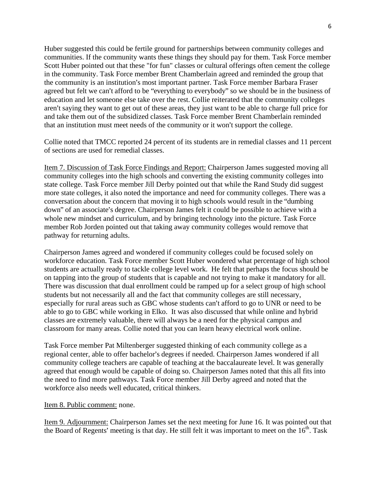Huber suggested this could be fertile ground for partnerships between community colleges and communities. If the community wants these things they should pay for them. Task Force member Scott Huber pointed out that these "for fun" classes or cultural offerings often cement the college in the community. Task Force member Brent Chamberlain agreed and reminded the group that the community is an institution's most important partner. Task Force member Barbara Fraser agreed but felt we can't afford to be "everything to everybody" so we should be in the business of education and let someone else take over the rest. Collie reiterated that the community colleges aren't saying they want to get out of these areas, they just want to be able to charge full price for and take them out of the subsidized classes. Task Force member Brent Chamberlain reminded that an institution must meet needs of the community or it won't support the college.

Collie noted that TMCC reported 24 percent of its students are in remedial classes and 11 percent of sections are used for remedial classes.

Item 7. Discussion of Task Force Findings and Report: Chairperson James suggested moving all community colleges into the high schools and converting the existing community colleges into state college. Task Force member Jill Derby pointed out that while the Rand Study did suggest more state colleges, it also noted the importance and need for community colleges. There was a conversation about the concern that moving it to high schools would result in the "dumbing down" of an associate's degree. Chairperson James felt it could be possible to achieve with a whole new mindset and curriculum, and by bringing technology into the picture. Task Force member Rob Jorden pointed out that taking away community colleges would remove that pathway for returning adults.

Chairperson James agreed and wondered if community colleges could be focused solely on workforce education. Task Force member Scott Huber wondered what percentage of high school students are actually ready to tackle college level work. He felt that perhaps the focus should be on tapping into the group of students that is capable and not trying to make it mandatory for all. There was discussion that dual enrollment could be ramped up for a select group of high school students but not necessarily all and the fact that community colleges are still necessary, especially for rural areas such as GBC whose students can't afford to go to UNR or need to be able to go to GBC while working in Elko. It was also discussed that while online and hybrid classes are extremely valuable, there will always be a need for the physical campus and classroom for many areas. Collie noted that you can learn heavy electrical work online.

Task Force member Pat Miltenberger suggested thinking of each community college as a regional center, able to offer bachelor's degrees if needed. Chairperson James wondered if all community college teachers are capable of teaching at the baccalaureate level. It was generally agreed that enough would be capable of doing so. Chairperson James noted that this all fits into the need to find more pathways. Task Force member Jill Derby agreed and noted that the workforce also needs well educated, critical thinkers.

## Item 8. Public comment: none.

Item 9. Adjournment: Chairperson James set the next meeting for June 16. It was pointed out that the Board of Regents' meeting is that day. He still felt it was important to meet on the  $16<sup>th</sup>$ . Task